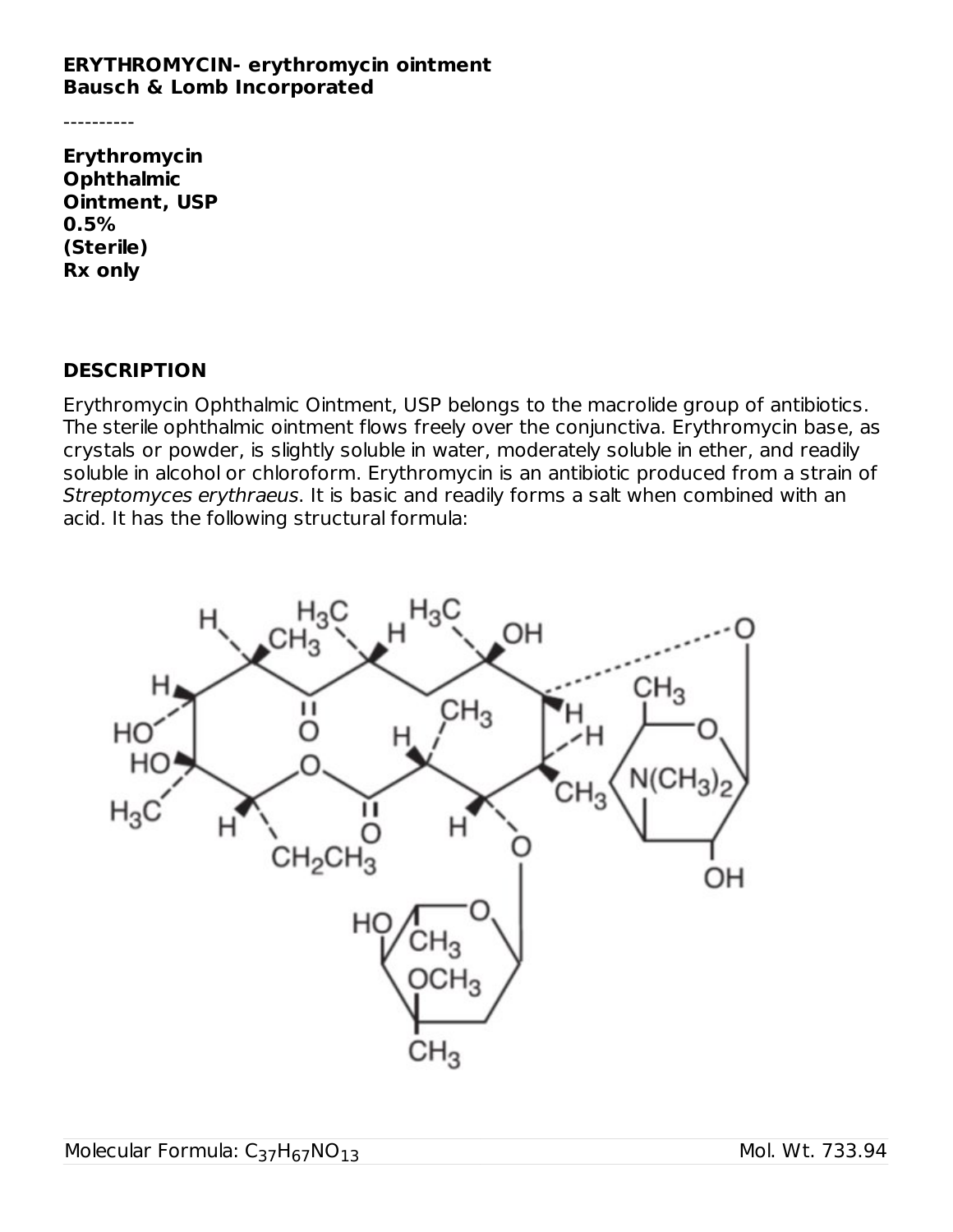#### **ERYTHROMYCIN- erythromycin ointment Bausch & Lomb Incorporated**

----------

**Erythromycin Ophthalmic Ointment, USP 0.5% (Sterile) Rx only**

#### **DESCRIPTION**

Erythromycin Ophthalmic Ointment, USP belongs to the macrolide group of antibiotics. The sterile ophthalmic ointment flows freely over the conjunctiva. Erythromycin base, as crystals or powder, is slightly soluble in water, moderately soluble in ether, and readily soluble in alcohol or chloroform. Erythromycin is an antibiotic produced from a strain of Streptomyces erythraeus. It is basic and readily forms a salt when combined with an acid. It has the following structural formula:

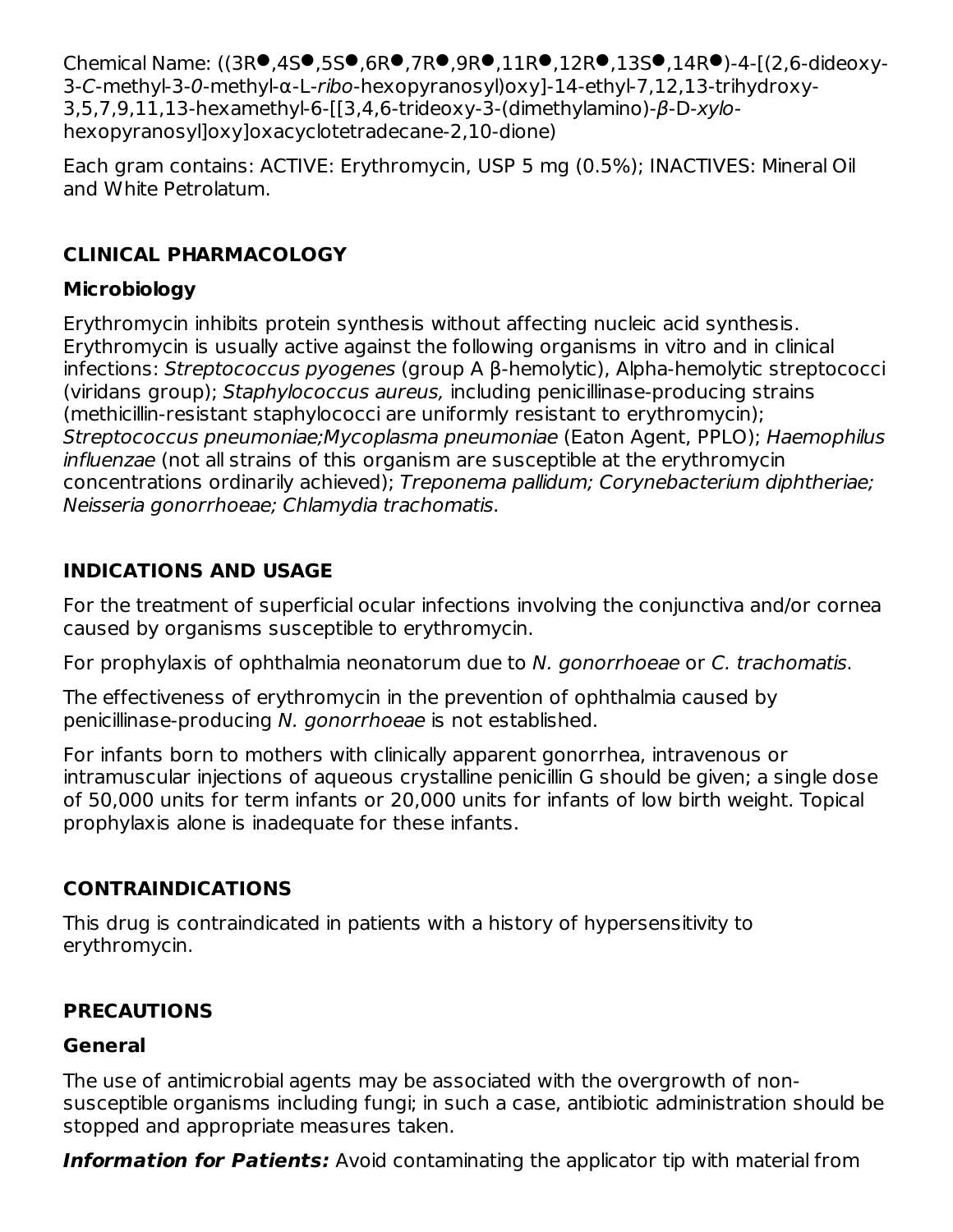Chemical Name: ((3R.,4S.,5S.,6R.,7R.,9R.,11R.,12R.,13S.,14R.)-4-[(2,6-dideoxy-3-C-methyl-3-0-methyl-α-L-ribo-hexopyranosyl)oxy]-14-ethyl-7,12,13-trihydroxy-3,5,7,9,11,13-hexamethyl-6-[[3,4,6-trideoxy-3-(dimethylamino)-β-D-xylohexopyranosyl]oxy]oxacyclotetradecane-2,10-dione)

Each gram contains: ACTIVE: Erythromycin, USP 5 mg (0.5%); INACTIVES: Mineral Oil and White Petrolatum.

# **CLINICAL PHARMACOLOGY**

# **Microbiology**

Erythromycin inhibits protein synthesis without affecting nucleic acid synthesis. Erythromycin is usually active against the following organisms in vitro and in clinical infections: Streptococcus pyogenes (group A β-hemolytic), Alpha-hemolytic streptococci (viridans group); Staphylococcus aureus, including penicillinase-producing strains (methicillin-resistant staphylococci are uniformly resistant to erythromycin); Streptococcus pneumoniae;Mycoplasma pneumoniae (Eaton Agent, PPLO); Haemophilus influenzae (not all strains of this organism are susceptible at the erythromycin concentrations ordinarily achieved); Treponema pallidum; Corynebacterium diphtheriae; Neisseria gonorrhoeae; Chlamydia trachomatis.

# **INDICATIONS AND USAGE**

For the treatment of superficial ocular infections involving the conjunctiva and/or cornea caused by organisms susceptible to erythromycin.

For prophylaxis of ophthalmia neonatorum due to N. gonorrhoeae or C. trachomatis.

The effectiveness of erythromycin in the prevention of ophthalmia caused by penicillinase-producing N. gonorrhoeae is not established.

For infants born to mothers with clinically apparent gonorrhea, intravenous or intramuscular injections of aqueous crystalline penicillin G should be given; a single dose of 50,000 units for term infants or 20,000 units for infants of low birth weight. Topical prophylaxis alone is inadequate for these infants.

# **CONTRAINDICATIONS**

This drug is contraindicated in patients with a history of hypersensitivity to erythromycin.

# **PRECAUTIONS**

# **General**

The use of antimicrobial agents may be associated with the overgrowth of nonsusceptible organisms including fungi; in such a case, antibiotic administration should be stopped and appropriate measures taken.

**Information for Patients:** Avoid contaminating the applicator tip with material from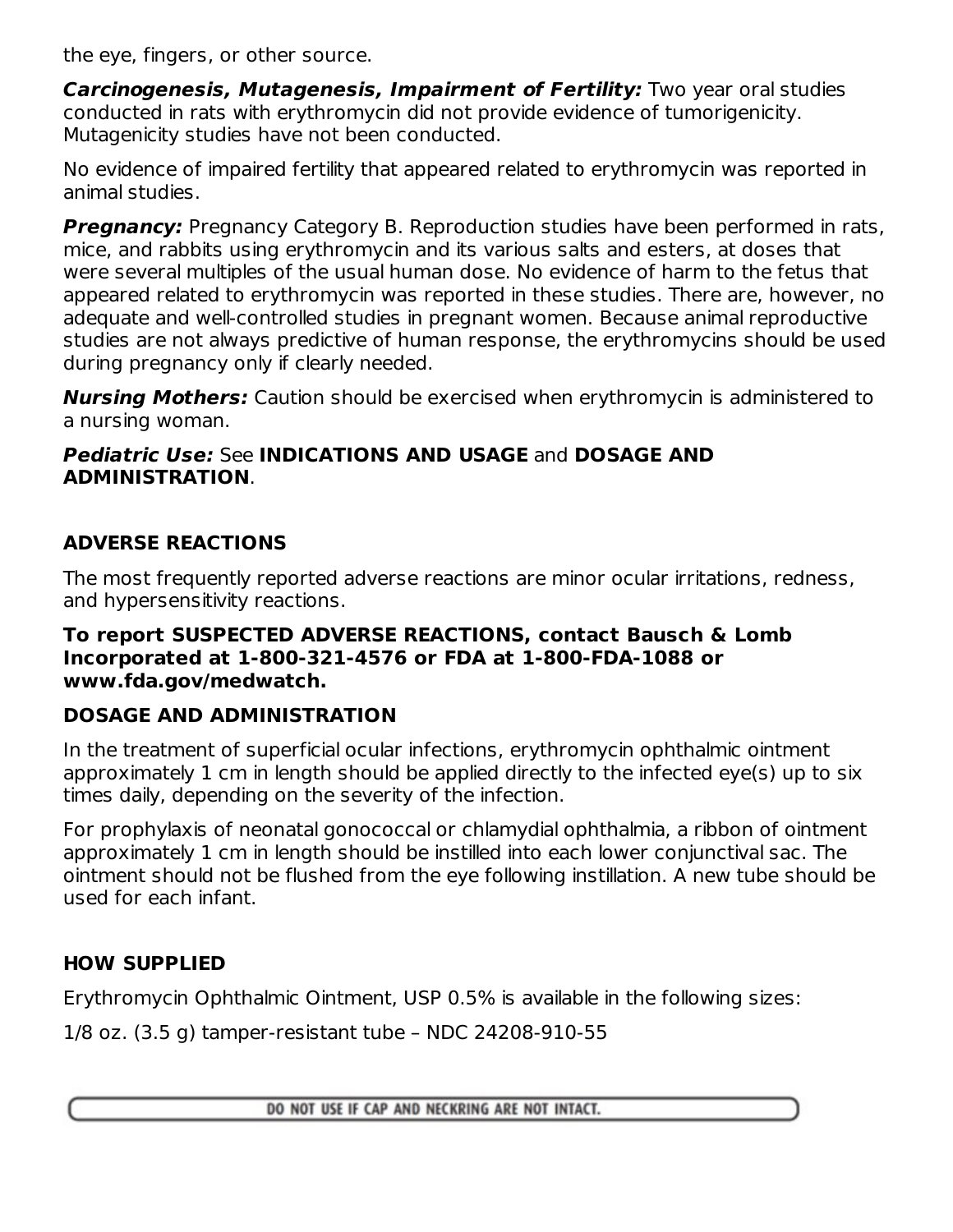the eye, fingers, or other source.

**Carcinogenesis, Mutagenesis, Impairment of Fertility:** Two year oral studies conducted in rats with erythromycin did not provide evidence of tumorigenicity. Mutagenicity studies have not been conducted.

No evidence of impaired fertility that appeared related to erythromycin was reported in animal studies.

**Pregnancy:** Pregnancy Category B. Reproduction studies have been performed in rats, mice, and rabbits using erythromycin and its various salts and esters, at doses that were several multiples of the usual human dose. No evidence of harm to the fetus that appeared related to erythromycin was reported in these studies. There are, however, no adequate and well-controlled studies in pregnant women. Because animal reproductive studies are not always predictive of human response, the erythromycins should be used during pregnancy only if clearly needed.

**Nursing Mothers:** Caution should be exercised when erythromycin is administered to a nursing woman.

### **Pediatric Use:** See **INDICATIONS AND USAGE** and **DOSAGE AND ADMINISTRATION**.

## **ADVERSE REACTIONS**

The most frequently reported adverse reactions are minor ocular irritations, redness, and hypersensitivity reactions.

#### **To report SUSPECTED ADVERSE REACTIONS, contact Bausch & Lomb Incorporated at 1-800-321-4576 or FDA at 1-800-FDA-1088 or www.fda.gov/medwatch.**

# **DOSAGE AND ADMINISTRATION**

In the treatment of superficial ocular infections, erythromycin ophthalmic ointment approximately 1 cm in length should be applied directly to the infected eye(s) up to six times daily, depending on the severity of the infection.

For prophylaxis of neonatal gonococcal or chlamydial ophthalmia, a ribbon of ointment approximately 1 cm in length should be instilled into each lower conjunctival sac. The ointment should not be flushed from the eye following instillation. A new tube should be used for each infant.

# **HOW SUPPLIED**

Erythromycin Ophthalmic Ointment, USP 0.5% is available in the following sizes:

1/8 oz. (3.5 g) tamper-resistant tube – NDC 24208-910-55

DO NOT USE IF CAP AND NECKRING ARE NOT INTACT.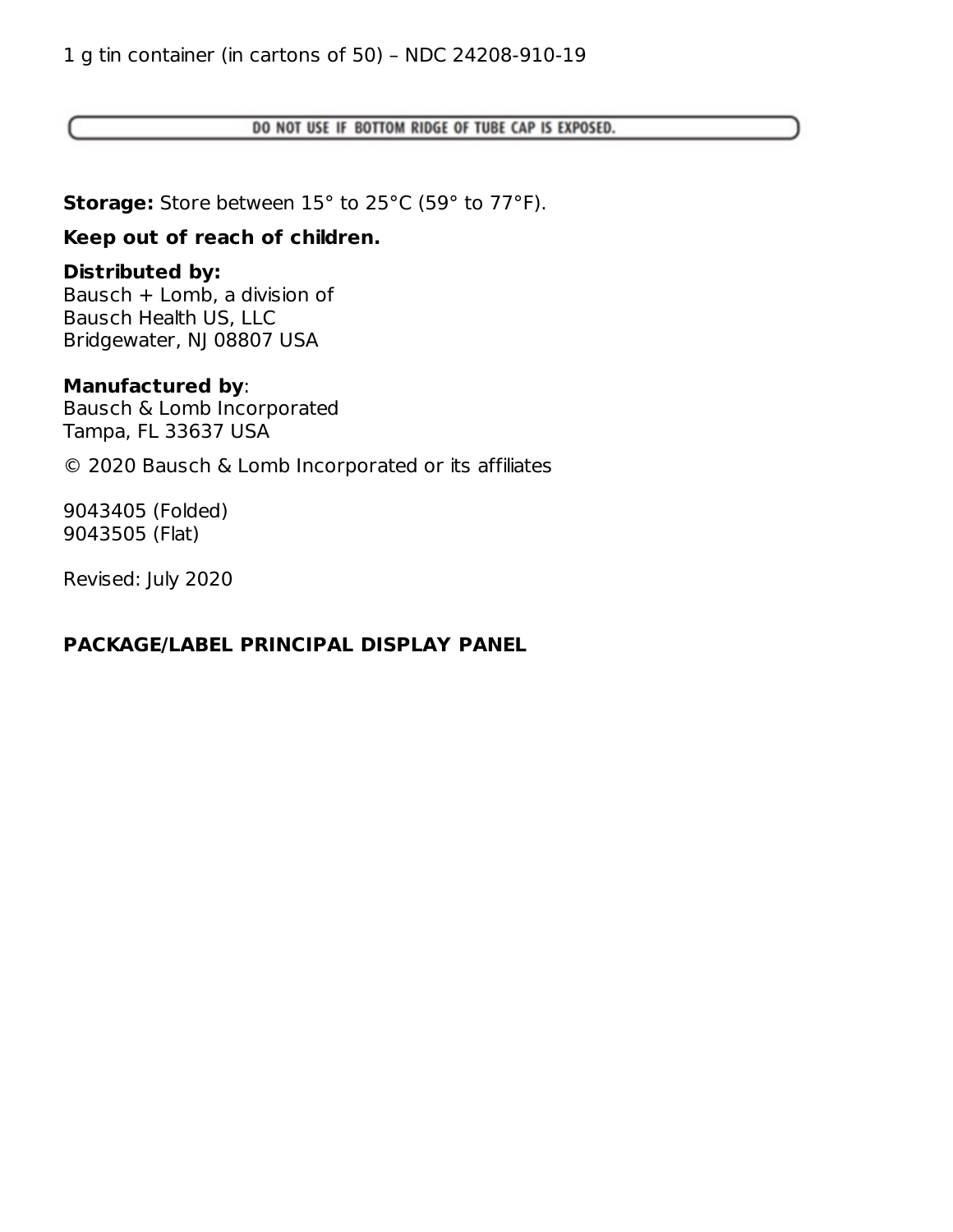DO NOT USE IF BOTTOM RIDGE OF TUBE CAP IS EXPOSED.

**Storage:** Store between 15° to 25°C (59° to 77°F).

### **Keep out of reach of children.**

### **Distributed by:**

Bausch + Lomb, a division of Bausch Health US, LLC Bridgewater, NJ 08807 USA

#### **Manufactured by**:

Bausch & Lomb Incorporated Tampa, FL 33637 USA

© 2020 Bausch & Lomb Incorporated or its affiliates

9043405 (Folded) 9043505 (Flat)

Revised: July 2020

### **PACKAGE/LABEL PRINCIPAL DISPLAY PANEL**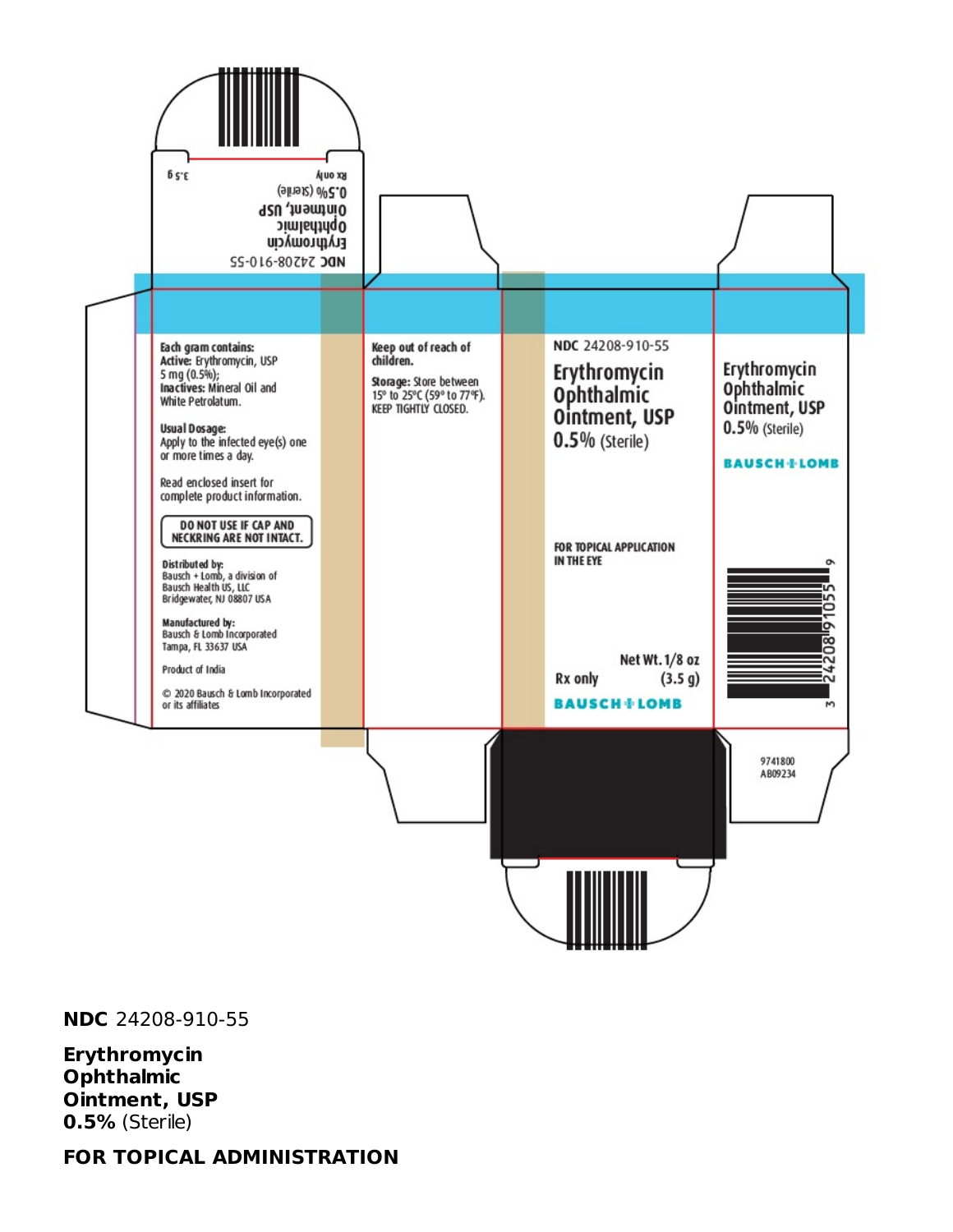

**NDC** 24208-910-55

**Erythromycin Ophthalmic Ointment, USP 0.5%** (Sterile)

**FOR TOPICAL ADMINISTRATION**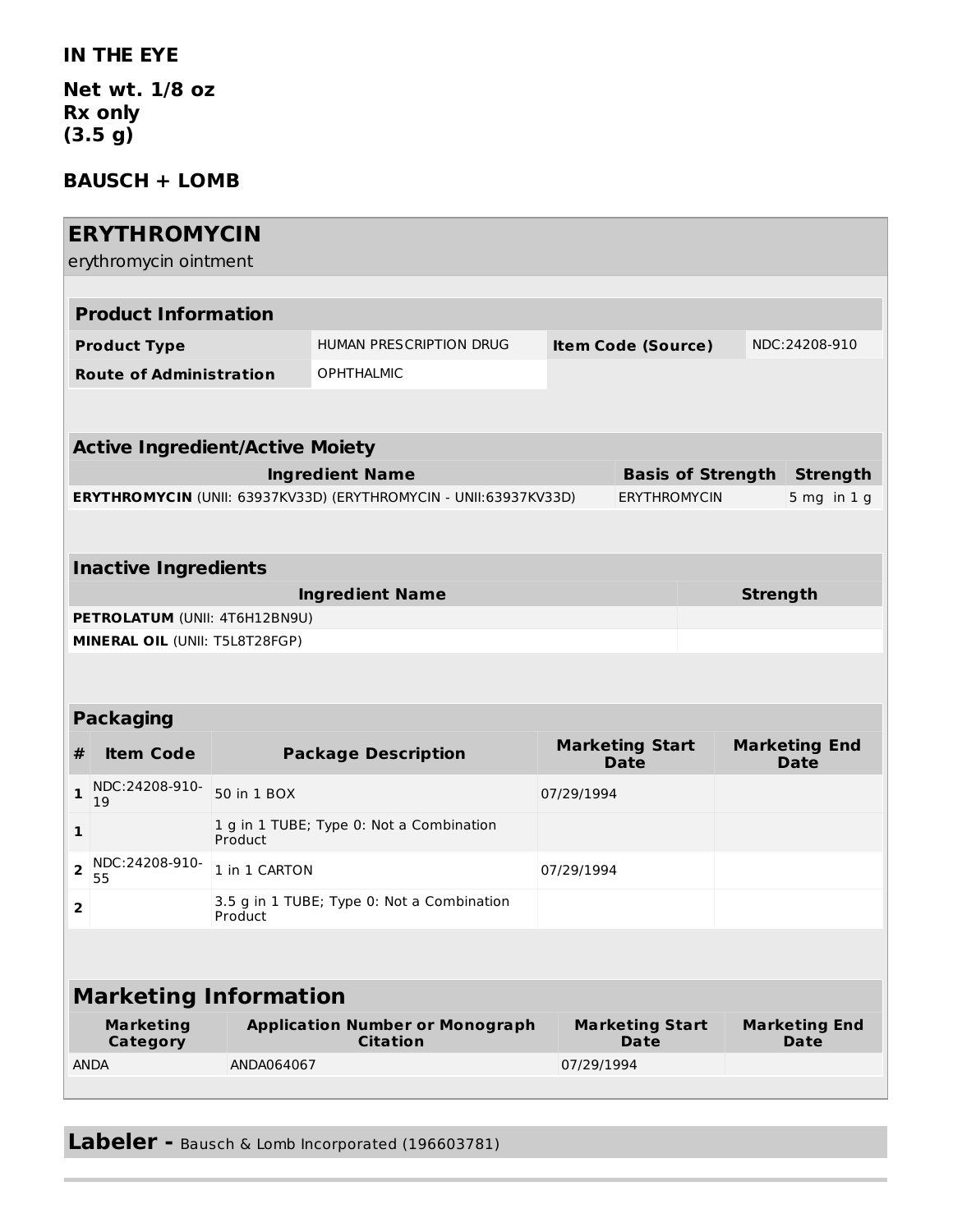#### **IN THE EYE**

**Net wt. 1/8 oz Rx only (3.5 g)**

### **BAUSCH + LOMB**

|                                        | <b>ERYTHROMYCIN</b><br>erythromycin ointment |                                                     |                                                                  |                     |                                                |                          |                                     |                 |  |  |  |
|----------------------------------------|----------------------------------------------|-----------------------------------------------------|------------------------------------------------------------------|---------------------|------------------------------------------------|--------------------------|-------------------------------------|-----------------|--|--|--|
| <b>Product Information</b>             |                                              |                                                     |                                                                  |                     |                                                |                          |                                     |                 |  |  |  |
| <b>Product Type</b>                    |                                              |                                                     | HUMAN PRESCRIPTION DRUG                                          |                     | <b>Item Code (Source)</b>                      |                          | NDC:24208-910                       |                 |  |  |  |
| <b>Route of Administration</b>         |                                              |                                                     | <b>OPHTHALMIC</b>                                                |                     |                                                |                          |                                     |                 |  |  |  |
|                                        |                                              |                                                     |                                                                  |                     |                                                |                          |                                     |                 |  |  |  |
| <b>Active Ingredient/Active Moiety</b> |                                              |                                                     |                                                                  |                     |                                                |                          |                                     |                 |  |  |  |
|                                        | <b>Ingredient Name</b>                       |                                                     |                                                                  |                     |                                                | <b>Basis of Strength</b> | <b>Strength</b>                     |                 |  |  |  |
|                                        |                                              |                                                     | ERYTHROMYCIN (UNII: 63937KV33D) (ERYTHROMYCIN - UNII:63937KV33D) | <b>ERYTHROMYCIN</b> |                                                |                          | $5$ mg in $1$ g                     |                 |  |  |  |
|                                        |                                              |                                                     |                                                                  |                     |                                                |                          |                                     |                 |  |  |  |
| <b>Inactive Ingredients</b>            |                                              |                                                     |                                                                  |                     |                                                |                          |                                     |                 |  |  |  |
|                                        | <b>Ingredient Name</b>                       |                                                     |                                                                  |                     |                                                |                          |                                     | <b>Strength</b> |  |  |  |
|                                        | PETROLATUM (UNII: 4T6H12BN9U)                |                                                     |                                                                  |                     |                                                |                          |                                     |                 |  |  |  |
| MINERAL OIL (UNII: T5L8T28FGP)         |                                              |                                                     |                                                                  |                     |                                                |                          |                                     |                 |  |  |  |
|                                        |                                              |                                                     |                                                                  |                     |                                                |                          |                                     |                 |  |  |  |
| <b>Packaging</b>                       |                                              |                                                     |                                                                  |                     |                                                |                          |                                     |                 |  |  |  |
|                                        |                                              |                                                     |                                                                  |                     | <b>Marketing Start</b><br><b>Marketing End</b> |                          |                                     |                 |  |  |  |
| #                                      | <b>Item Code</b>                             |                                                     | <b>Package Description</b>                                       |                     | <b>Date</b>                                    |                          | <b>Date</b>                         |                 |  |  |  |
| 1                                      | NDC:24208-910-<br>19                         | 50 in 1 BOX                                         |                                                                  |                     | 07/29/1994                                     |                          |                                     |                 |  |  |  |
| $\mathbf{1}$                           |                                              | 1 g in 1 TUBE; Type 0: Not a Combination<br>Product |                                                                  |                     |                                                |                          |                                     |                 |  |  |  |
| 2                                      | NDC:24208-910-<br>55                         | 1 in 1 CARTON                                       |                                                                  | 07/29/1994          |                                                |                          |                                     |                 |  |  |  |
| 2                                      |                                              | Product                                             | 3.5 g in 1 TUBE; Type 0: Not a Combination                       |                     |                                                |                          |                                     |                 |  |  |  |
|                                        |                                              |                                                     |                                                                  |                     |                                                |                          |                                     |                 |  |  |  |
| <b>Marketing Information</b>           |                                              |                                                     |                                                                  |                     |                                                |                          |                                     |                 |  |  |  |
|                                        |                                              |                                                     |                                                                  |                     |                                                |                          |                                     |                 |  |  |  |
| <b>Marketing</b><br>Category           |                                              |                                                     | <b>Application Number or Monograph</b><br><b>Citation</b>        |                     | <b>Marketing Start</b><br><b>Date</b>          |                          | <b>Marketing End</b><br><b>Date</b> |                 |  |  |  |
| <b>ANDA</b>                            |                                              | ANDA064067                                          |                                                                  |                     | 07/29/1994                                     |                          |                                     |                 |  |  |  |
|                                        |                                              |                                                     |                                                                  |                     |                                                |                          |                                     |                 |  |  |  |

**Labeler -** Bausch & Lomb Incorporated (196603781)